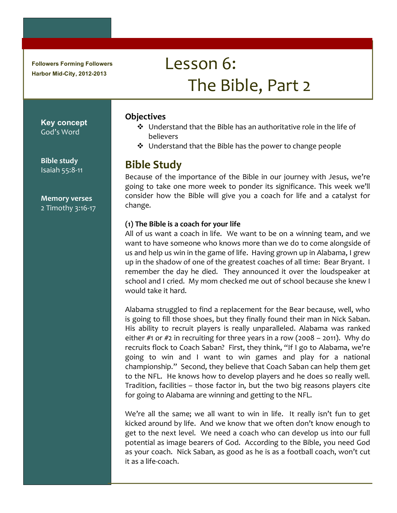**Followers Forming Followers Harbor Mid-City, 2012-2013**

# Lesson 6: The Bible, Part 2

**Key concept** God's Word

**Bible study** Isaiah 55:8-11

**Memory!verses** 2 Timothy 3:16-17

#### **Objectives**

- $\cdot$  Understand that the Bible has an authoritative role in the life of believers
- $\cdot$  Understand that the Bible has the power to change people

## **Bible!Study**

Because of the importance of the Bible in our journey with Jesus, we're going to take one more week to ponder its significance. This week we'll consider how the Bible will give you a coach for life and a catalyst for change.

#### **(1)!The!Bible!is!a!coach!for!your!life**

All of us want a coach in life. We want to be on a winning team, and we want to have someone who knows more than we do to come alongside of us and help us win in the game of life. Having grown up in Alabama, I grew up in the shadow of one of the greatest coaches of all time: Bear Bryant. I remember the day he died. They announced it over the loudspeaker at school and I cried. My mom checked me out of school because she knew I would take it hard.

Alabama struggled to find a replacement for the Bear because, well, who is going to fill those shoes, but they finally found their man in Nick Saban. His ability to recruit players is really unparalleled. Alabama was ranked either #1 or #2 in recruiting for three years in a row (2008 – 2011). Why do recruits flock to Coach Saban? First, they think, "If I go to Alabama, we're going to win and I want to win games and play for a national championship." Second, they believe that Coach Saban can help them get to the NFL. He knows how to develop players and he does so really well. Tradition, facilities  $-$  those factor in, but the two big reasons players cite for going to Alabama are winning and getting to the NFL.

We're all the same; we all want to win in life. It really isn't fun to get kicked around by life. And we know that we often don't know enough to get to the next level. We need a coach who can develop us into our full potential as image bearers of God. According to the Bible, you need God as your coach. Nick Saban, as good as he is as a football coach, won't cut it as a life-coach.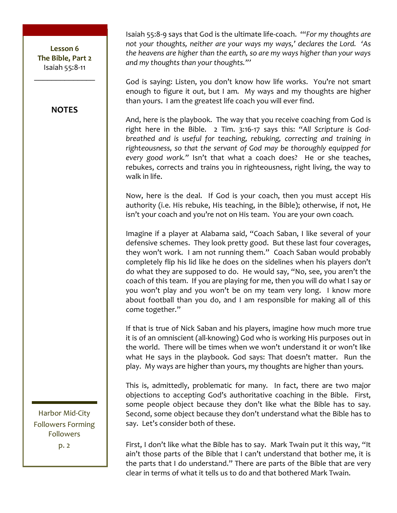\_\_\_\_\_\_\_\_\_\_\_\_\_\_ **NOTES**

Isaiah 55:8-9 says that God is the ultimate life-coach. "For my thoughts are not your thoughts, neither are your ways my ways,' declares the Lord. 'As the heavens are higher than the earth, so are my ways higher than your ways and my thoughts than your thoughts."'

God is saying: Listen, you don't know how life works. You're not smart enough to figure it out, but I am. My ways and my thoughts are higher than yours. I am the greatest life coach you will ever find.

And, here is the playbook. The way that you receive coaching from God is right here in the Bible. 2 Tim. 3:16-17 says this: "All Scripture is God*breathed and is useful for teaching, rebuking, correcting and training in* righteousness, so that the servant of God may be thoroughly equipped for *every good work."* Isn't that what a coach does? He or she teaches, rebukes, corrects and trains you in righteousness, right living, the way to walk in life.

Now, here is the deal. If God is your coach, then you must accept His authority (i.e. His rebuke, His teaching, in the Bible); otherwise, if not, He isn't your coach and you're not on His team. You are your own coach.

Imagine if a player at Alabama said, "Coach Saban, I like several of your defensive schemes. They look pretty good. But these last four coverages, they won't work. I am not running them." Coach Saban would probably completely flip his lid like he does on the sidelines when his players don't do what they are supposed to do. He would say, "No, see, you aren't the coach of this team. If you are playing for me, then you will do what I say or you won't play and you won't be on my team very long. I know more about football than you do, and I am responsible for making all of this come together."

If that is true of Nick Saban and his players, imagine how much more true it is of an omniscient (all-knowing) God who is working His purposes out in the world. There will be times when we won't understand it or won't like what He says in the playbook. God says: That doesn't matter. Run the play. My ways are higher than yours, my thoughts are higher than yours.

This is, admittedly, problematic for many. In fact, there are two major objections to accepting God's authoritative coaching in the Bible. First, some people object because they don't like what the Bible has to say. Second, some object because they don't understand what the Bible has to say. Let's consider both of these.

First, I don't like what the Bible has to say. Mark Twain put it this way, "It ain't those parts of the Bible that I can't understand that bother me, it is the parts that I do understand." There are parts of the Bible that are very clear in terms of what it tells us to do and that bothered Mark Twain.

Harbor Mid-City Followers Forming Followers

 $p.2$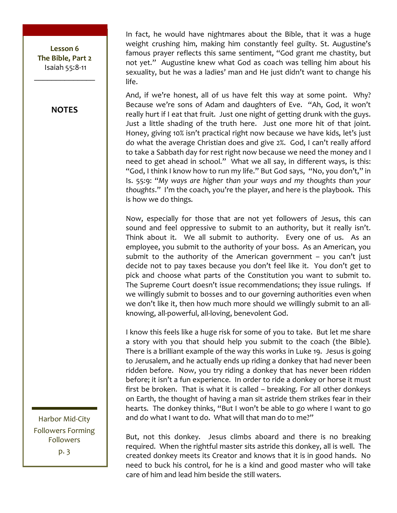**NOTES**

In fact, he would have nightmares about the Bible, that it was a huge weight crushing him, making him constantly feel guilty. St. Augustine's famous prayer reflects this same sentiment, "God grant me chastity, but not yet." Augustine knew what God as coach was telling him about his sexuality, but he was a ladies' man and He just didn't want to change his life.

And, if we're honest, all of us have felt this way at some point. Why? Because we're sons of Adam and daughters of Eve. "Ah, God, it won't really hurt if I eat that fruit. Just one night of getting drunk with the guys. Just a little shading of the truth here. Just one more hit of that joint. Honey, giving 10% isn't practical right now because we have kids, let's just do what the average Christian does and give 2%. God, I can't really afford to take a Sabbath day for rest right now because we need the money and I need to get ahead in school." What we all say, in different ways, is this: "God, I think I know how to run my life." But God says, "No, you don't," in Is. 55:9: "My ways are higher than your ways and my thoughts than your thoughts." I'm the coach, you're the player, and here is the playbook. This is how we do things.

Now, especially for those that are not yet followers of Jesus, this can sound and feel oppressive to submit to an authority, but it really isn't. Think about it. We all submit to authority. Every one of us. As an employee, you submit to the authority of your boss. As an American, you submit to the authority of the American government – you can't just decide not to pay taxes because you don't feel like it. You don't get to pick and choose what parts of the Constitution you want to submit to. The Supreme Court doesn't issue recommendations; they issue rulings. If we willingly submit to bosses and to our governing authorities even when we don't like it, then how much more should we willingly submit to an allknowing, all-powerful, all-loving, benevolent God.

I know this feels like a huge risk for some of you to take. But let me share a story with you that should help you submit to the coach (the Bible). There is a brilliant example of the way this works in Luke 19. Jesus is going to Jerusalem, and he actually ends up riding a donkey that had never been ridden before. Now, you try riding a donkey that has never been ridden before; it isn't a fun experience. In order to ride a donkey or horse it must first be broken. That is what it is called – breaking. For all other donkeys on Earth, the thought of having a man sit astride them strikes fear in their hearts. The donkey thinks, "But I won't be able to go where I want to go and do what I want to do. What will that man do to me?"

But, not this donkey. Jesus climbs aboard and there is no breaking required. When the rightful master sits astride this donkey, all is well. The created donkey meets its Creator and knows that it is in good hands. No need to buck his control, for he is a kind and good master who will take care of him and lead him beside the still waters.

Harbor Mid-City Followers Forming Followers p. 3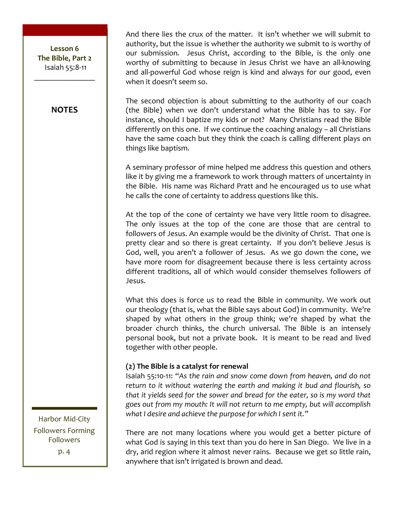#### **NOTES**

And there lies the crux of the matter. It isn't whether we will submit to authority, but the issue is whether the authority we submit to is worthy of our submission. Jesus Christ, according to the Bible, is the only one worthy of submitting to because in Jesus Christ we have an all-knowing and all-powerful God whose reign is kind and always for our good, even when it doesn't seem so.

The second objection is about submitting to the authority of our coach (the Bible) when we don't understand what the Bible has to say. For instance, should I baptize my kids or not? Many Christians read the Bible differently on this one. If we continue the coaching analogy – all Christians have the same coach but they think the coach is calling different plays on things like baptism.

A seminary professor of mine helped me address this question and others like it by giving me a framework to work through matters of uncertainty in the Bible. His name was Richard Pratt and he encouraged us to use what he calls the cone of certainty to address questions like this.

At the top of the cone of certainty we have very little room to disagree. The only issues at the top of the cone are those that are central to followers of Jesus. An example would be the divinity of Christ. That one is pretty clear and so there is great certainty. If you don't believe Jesus is God, well, you aren't a follower of Jesus. As we go down the cone, we have more room for disagreement because there is less certainty across different traditions, all of which would consider themselves followers of Jesus.

What this does is force us to read the Bible in community. We work out our theology (that is, what the Bible says about God) in community. We're shaped by what others in the group think; we're shaped by what the broader church thinks, the church universal. The Bible is an intensely personal book, but not a private book. It is meant to be read and lived together with other people.

#### **(2) The Bible is a catalyst for renewal**

Isaiah 55:10-11: "As the rain and snow come down from heaven, and do not return to it without watering the earth and making it bud and flourish, so that it yields seed for the sower and bread for the eater, so is my word that *goes\$out\$from\$my\$mouth:\$It\$will\$not\$return\$to\$me\$empty,\$but\$will\$accomplish\$* what I desire and achieve the purpose for which I sent it."

There are not many locations where you would get a better picture of what God is saying in this text than you do here in San Diego. We live in a dry, arid region where it almost never rains. Because we get so little rain, anywhere that isn't irrigated is brown and dead.

Harbor Mid-City Followers Forming Followers p. 4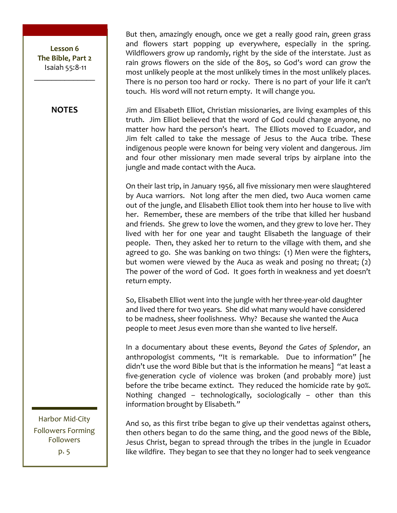#### **NOTES**

But then, amazingly enough, once we get a really good rain, green grass and flowers start popping up everywhere, especially in the spring. Wildflowers grow up randomly, right by the side of the interstate. Just as rain grows flowers on the side of the 805, so God's word can grow the most unlikely people at the most unlikely times in the most unlikely places. There is no person too hard or rocky. There is no part of your life it can't touch. His word will not return empty. It will change you.

Jim and Elisabeth Elliot, Christian missionaries, are living examples of this truth. Jim Elliot believed that the word of God could change anyone, no matter how hard the person's heart. The Elliots moved to Ecuador, and Jim felt called to take the message of Jesus to the Auca tribe. These indigenous people were known for being very violent and dangerous. Jim and four other missionary men made several trips by airplane into the jungle and made contact with the Auca.

On their last trip, in January 1956, all five missionary men were slaughtered by Auca warriors. Not long after the men died, two Auca women came out of the jungle, and Elisabeth Elliot took them into her house to live with her. Remember, these are members of the tribe that killed her husband and friends. She grew to love the women, and they grew to love her. They lived with her for one year and taught Elisabeth the language of their people. Then, they asked her to return to the village with them, and she agreed to go. She was banking on two things: (1) Men were the fighters, but women were viewed by the Auca as weak and posing no threat; (2) The power of the word of God. It goes forth in weakness and yet doesn't return empty.

So, Elisabeth Elliot went into the jungle with her three-year-old daughter and lived there for two years. She did what many would have considered to be madness, sheer foolishness. Why? Because she wanted the Auca people to meet Jesus even more than she wanted to live herself.

In a documentary about these events, *Beyond the Gates of Splendor*, an anthropologist comments, "It is remarkable. Due to information" [he didn't use the word Bible but that is the information he means] "at least a five-generation cycle of violence was broken (and probably more) just before the tribe became extinct. They reduced the homicide rate by 90%. Nothing changed – technologically, sociologically – other than this information brought by Elisabeth."

And so, as this first tribe began to give up their vendettas against others, then others began to do the same thing, and the good news of the Bible, Jesus Christ, began to spread through the tribes in the jungle in Ecuador like wildfire. They began to see that they no longer had to seek vengeance

Harbor Mid-City Followers Forming Followers p. 5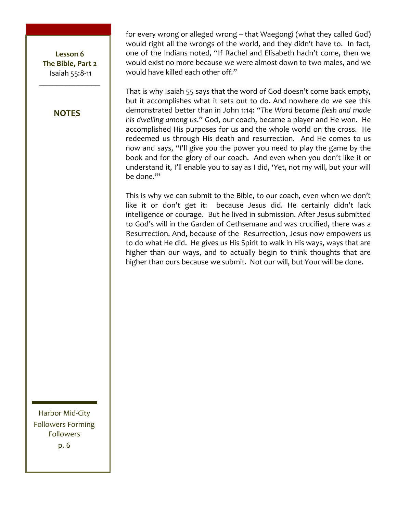Lesson 6 **The Bible, Part 2** Isaiah 55:8-11

 $\frac{1}{2}$ 

#### **NOTES**

for every wrong or alleged wrong – that Waegongi (what they called God) would right all the wrongs of the world, and they didn't have to. In fact, one of the Indians noted, "If Rachel and Elisabeth hadn't come, then we would exist no more because we were almost down to two males, and we would have killed each other off."

That is why Isaiah 55 says that the word of God doesn't come back empty, but it accomplishes what it sets out to do. And nowhere do we see this demonstrated better than in John 1:14: "The Word became flesh and made his dwelling among us." God, our coach, became a player and He won. He accomplished His purposes for us and the whole world on the cross. He redeemed us through His death and resurrection. And He comes to us now and says, "I'll give you the power you need to play the game by the book and for the glory of our coach. And even when you don't like it or understand it, I'll enable you to say as I did, 'Yet, not my will, but your will be done."

This is why we can submit to the Bible, to our coach, even when we don't like it or don't get it: because Jesus did. He certainly didn't lack intelligence or courage. But he lived in submission. After Jesus submitted to God's will in the Garden of Gethsemane and was crucified, there was a Resurrection. And, because of the Resurrection, Jesus now empowers us to do what He did. He gives us His Spirit to walk in His ways, ways that are higher than our ways, and to actually begin to think thoughts that are higher than ours because we submit. Not our will, but Your will be done.

Harbor Mid-City Followers Forming Followers p.&6